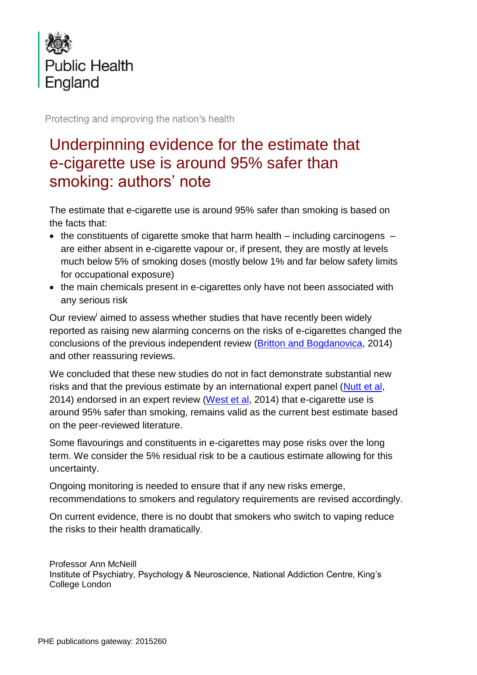

Protecting and improving the nation's health

## Underpinning evidence for the estimate that e-cigarette use is around 95% safer than smoking: authors' note

The estimate that e-cigarette use is around 95% safer than smoking is based on the facts that:

- the constituents of cigarette smoke that harm health including carcinogens  $$ are either absent in e-cigarette vapour or, if present, they are mostly at levels much below 5% of smoking doses (mostly below 1% and far below safety limits for occupational exposure)
- the main chemicals present in e-cigarettes only have not been associated with any serious risk

Our review<sup>i</sup> aimed to assess whether studies that have recently been widely reported as raising new alarming concerns on the risks of e-cigarettes changed the conclusions of the previous independent review [\(Britton](https://www.gov.uk/government/uploads/system/uploads/attachment_data/file/311887/Ecigarettes_report.pdf) and Bogdanovica, 2014) and other reassuring reviews.

We concluded that these new studies do not in fact demonstrate substantial new risks and that the previous estimate by an international expert panel [\(Nutt et al,](http://www.karger.com/article/FullText/360220) 2014) endorsed in an expert review [\(West et al,](http://www.google.co.uk/url?sa=t&rct=j&q=&esrc=s&frm=1&source=web&cd=1&cad=rja&uact=8&ved=0CCIQFjAAahUKEwjCtp2N2ajHAhVFndsKHaVvDpI&url=http%3A%2F%2Fwww.smokinginengland.info%2Fdownloadfile%2F%3Ftype%3Dreport%26src%3D6&ei=Xe_NVYKUCsW67gal37mQCQ&usg=AFQjCNGjCnfwbQrauiQGbQ_h154f3rRtrw&bvm=bv.99804247,d.ZGU) 2014) that e-cigarette use is around 95% safer than smoking, remains valid as the current best estimate based on the peer-reviewed literature.

Some flavourings and constituents in e-cigarettes may pose risks over the long term. We consider the 5% residual risk to be a cautious estimate allowing for this uncertainty.

Ongoing monitoring is needed to ensure that if any new risks emerge, recommendations to smokers and regulatory requirements are revised accordingly.

On current evidence, there is no doubt that smokers who switch to vaping reduce the risks to their health dramatically.

Professor Ann McNeill Institute of Psychiatry, Psychology & Neuroscience, National Addiction Centre, King's College London